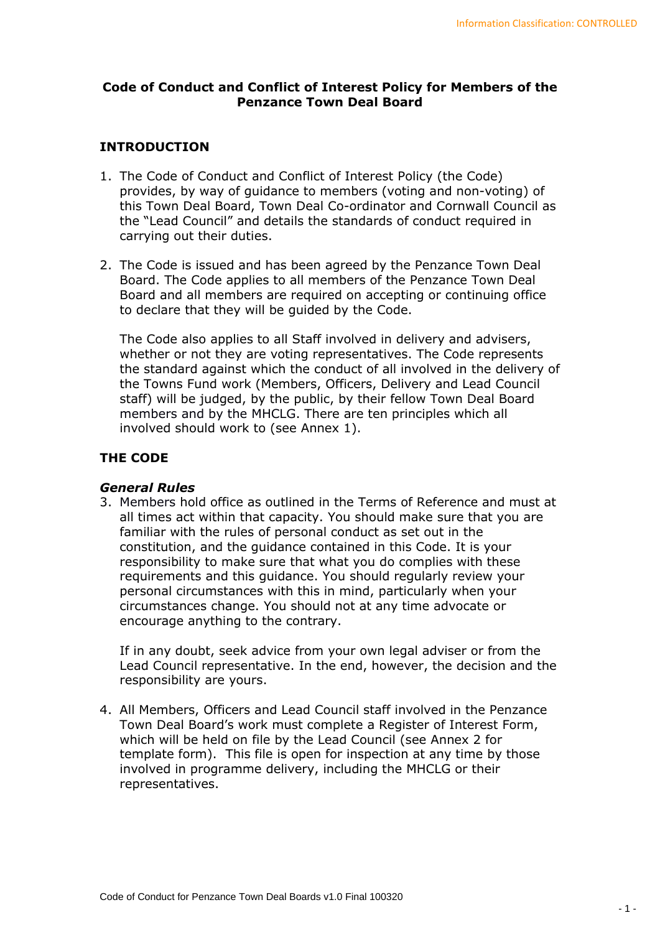## **Code of Conduct and Conflict of Interest Policy for Members of the Penzance Town Deal Board**

## **INTRODUCTION**

- 1. The Code of Conduct and Conflict of Interest Policy (the Code) provides, by way of guidance to members (voting and non-voting) of this Town Deal Board, Town Deal Co-ordinator and Cornwall Council as the "Lead Council" and details the standards of conduct required in carrying out their duties.
- 2. The Code is issued and has been agreed by the Penzance Town Deal Board. The Code applies to all members of the Penzance Town Deal Board and all members are required on accepting or continuing office to declare that they will be guided by the Code.

The Code also applies to all Staff involved in delivery and advisers, whether or not they are voting representatives. The Code represents the standard against which the conduct of all involved in the delivery of the Towns Fund work (Members, Officers, Delivery and Lead Council staff) will be judged, by the public, by their fellow Town Deal Board members and by the MHCLG. There are ten principles which all involved should work to (see Annex 1).

## **THE CODE**

## *General Rules*

3. Members hold office as outlined in the Terms of Reference and must at all times act within that capacity. You should make sure that you are familiar with the rules of personal conduct as set out in the constitution, and the guidance contained in this Code. It is your responsibility to make sure that what you do complies with these requirements and this guidance. You should regularly review your personal circumstances with this in mind, particularly when your circumstances change. You should not at any time advocate or encourage anything to the contrary.

If in any doubt, seek advice from your own legal adviser or from the Lead Council representative. In the end, however, the decision and the responsibility are yours.

4. All Members, Officers and Lead Council staff involved in the Penzance Town Deal Board's work must complete a Register of Interest Form, which will be held on file by the Lead Council (see Annex 2 for template form). This file is open for inspection at any time by those involved in programme delivery, including the MHCLG or their representatives.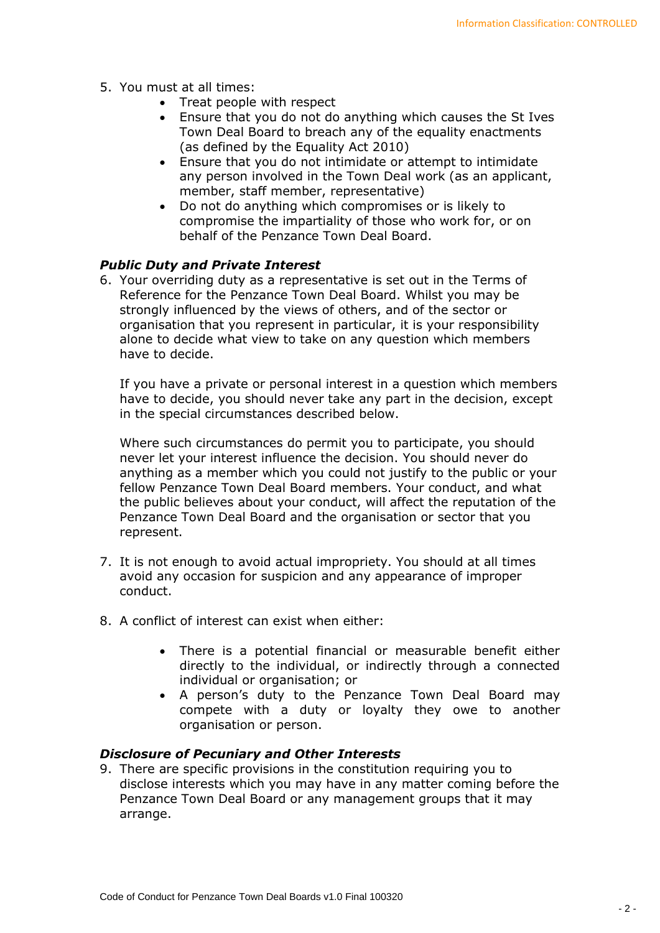- 5. You must at all times:
	- Treat people with respect
	- Ensure that you do not do anything which causes the St Ives Town Deal Board to breach any of the equality enactments (as defined by the Equality Act 2010)
	- Ensure that you do not intimidate or attempt to intimidate any person involved in the Town Deal work (as an applicant, member, staff member, representative)
	- Do not do anything which compromises or is likely to compromise the impartiality of those who work for, or on behalf of the Penzance Town Deal Board.

## *Public Duty and Private Interest*

6. Your overriding duty as a representative is set out in the Terms of Reference for the Penzance Town Deal Board. Whilst you may be strongly influenced by the views of others, and of the sector or organisation that you represent in particular, it is your responsibility alone to decide what view to take on any question which members have to decide.

If you have a private or personal interest in a question which members have to decide, you should never take any part in the decision, except in the special circumstances described below.

Where such circumstances do permit you to participate, you should never let your interest influence the decision. You should never do anything as a member which you could not justify to the public or your fellow Penzance Town Deal Board members. Your conduct, and what the public believes about your conduct, will affect the reputation of the Penzance Town Deal Board and the organisation or sector that you represent.

- 7. It is not enough to avoid actual impropriety. You should at all times avoid any occasion for suspicion and any appearance of improper conduct.
- 8. A conflict of interest can exist when either:
	- There is a potential financial or measurable benefit either directly to the individual, or indirectly through a connected individual or organisation; or
	- A person's duty to the Penzance Town Deal Board may compete with a duty or loyalty they owe to another organisation or person.

## *Disclosure of Pecuniary and Other Interests*

9. There are specific provisions in the constitution requiring you to disclose interests which you may have in any matter coming before the Penzance Town Deal Board or any management groups that it may arrange.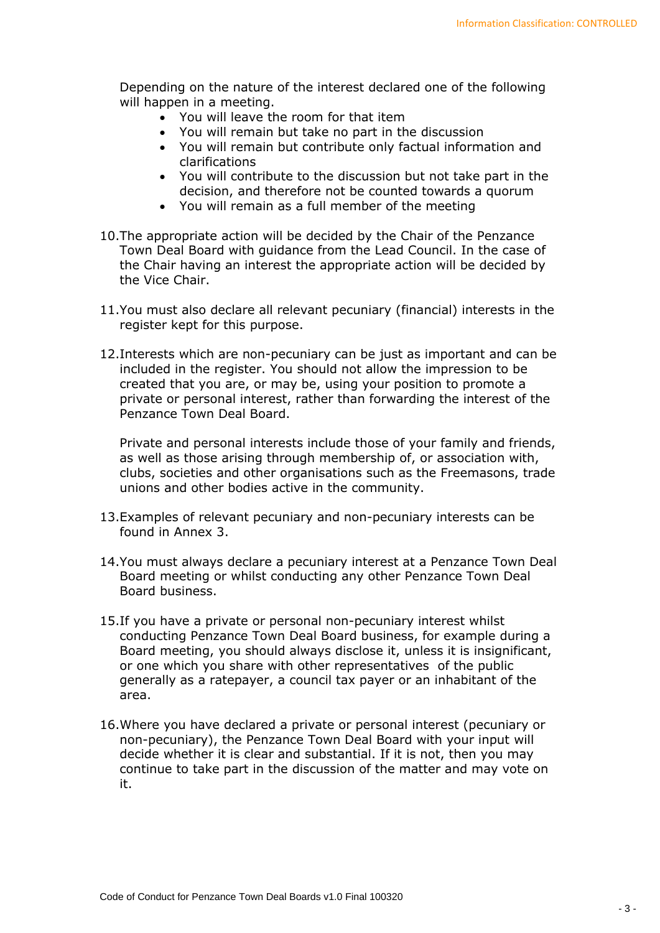Depending on the nature of the interest declared one of the following will happen in a meeting.

- You will leave the room for that item
- You will remain but take no part in the discussion
- You will remain but contribute only factual information and clarifications
- You will contribute to the discussion but not take part in the decision, and therefore not be counted towards a quorum
- You will remain as a full member of the meeting
- 10.The appropriate action will be decided by the Chair of the Penzance Town Deal Board with guidance from the Lead Council. In the case of the Chair having an interest the appropriate action will be decided by the Vice Chair.
- 11.You must also declare all relevant pecuniary (financial) interests in the register kept for this purpose.
- 12.Interests which are non-pecuniary can be just as important and can be included in the register. You should not allow the impression to be created that you are, or may be, using your position to promote a private or personal interest, rather than forwarding the interest of the Penzance Town Deal Board.

Private and personal interests include those of your family and friends, as well as those arising through membership of, or association with, clubs, societies and other organisations such as the Freemasons, trade unions and other bodies active in the community.

- 13.Examples of relevant pecuniary and non-pecuniary interests can be found in Annex 3.
- 14.You must always declare a pecuniary interest at a Penzance Town Deal Board meeting or whilst conducting any other Penzance Town Deal Board business.
- 15.If you have a private or personal non-pecuniary interest whilst conducting Penzance Town Deal Board business, for example during a Board meeting, you should always disclose it, unless it is insignificant, or one which you share with other representatives of the public generally as a ratepayer, a council tax payer or an inhabitant of the area.
- 16.Where you have declared a private or personal interest (pecuniary or non-pecuniary), the Penzance Town Deal Board with your input will decide whether it is clear and substantial. If it is not, then you may continue to take part in the discussion of the matter and may vote on it.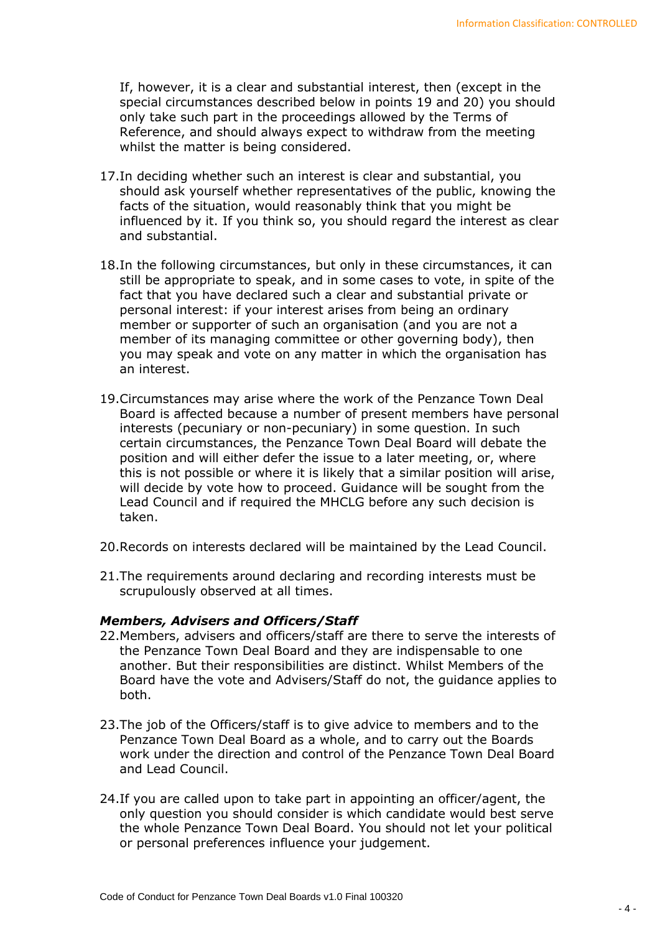If, however, it is a clear and substantial interest, then (except in the special circumstances described below in points 19 and 20) you should only take such part in the proceedings allowed by the Terms of Reference, and should always expect to withdraw from the meeting whilst the matter is being considered.

- 17.In deciding whether such an interest is clear and substantial, you should ask yourself whether representatives of the public, knowing the facts of the situation, would reasonably think that you might be influenced by it. If you think so, you should regard the interest as clear and substantial.
- 18.In the following circumstances, but only in these circumstances, it can still be appropriate to speak, and in some cases to vote, in spite of the fact that you have declared such a clear and substantial private or personal interest: if your interest arises from being an ordinary member or supporter of such an organisation (and you are not a member of its managing committee or other governing body), then you may speak and vote on any matter in which the organisation has an interest.
- 19.Circumstances may arise where the work of the Penzance Town Deal Board is affected because a number of present members have personal interests (pecuniary or non-pecuniary) in some question. In such certain circumstances, the Penzance Town Deal Board will debate the position and will either defer the issue to a later meeting, or, where this is not possible or where it is likely that a similar position will arise, will decide by vote how to proceed. Guidance will be sought from the Lead Council and if required the MHCLG before any such decision is taken.
- 20.Records on interests declared will be maintained by the Lead Council.
- 21.The requirements around declaring and recording interests must be scrupulously observed at all times.

#### *Members, Advisers and Officers/Staff*

- 22.Members, advisers and officers/staff are there to serve the interests of the Penzance Town Deal Board and they are indispensable to one another. But their responsibilities are distinct. Whilst Members of the Board have the vote and Advisers/Staff do not, the guidance applies to both.
- 23.The job of the Officers/staff is to give advice to members and to the Penzance Town Deal Board as a whole, and to carry out the Boards work under the direction and control of the Penzance Town Deal Board and Lead Council.
- 24.If you are called upon to take part in appointing an officer/agent, the only question you should consider is which candidate would best serve the whole Penzance Town Deal Board. You should not let your political or personal preferences influence your judgement.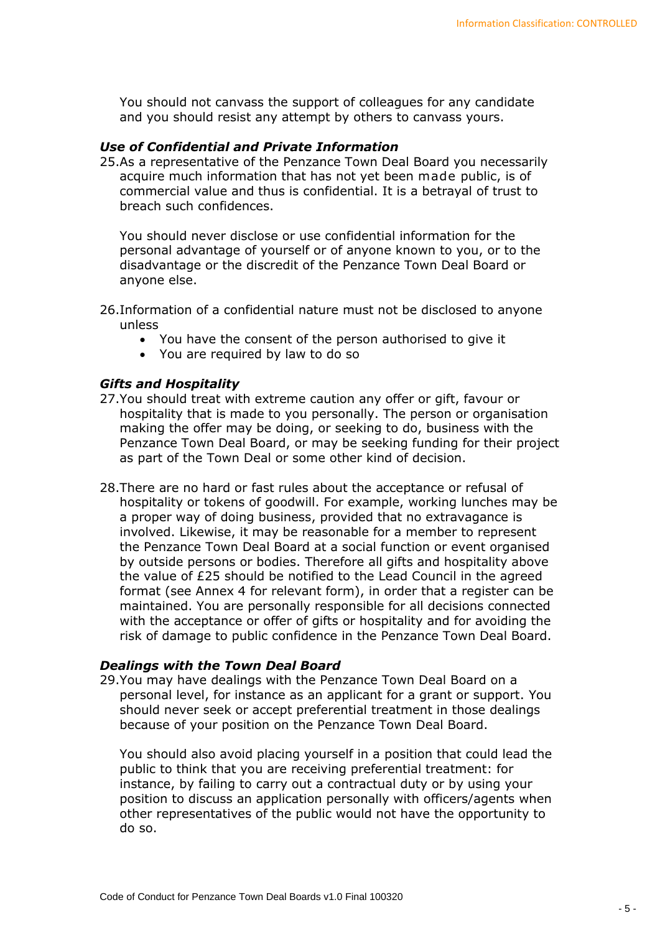You should not canvass the support of colleagues for any candidate and you should resist any attempt by others to canvass yours.

### *Use of Confidential and Private Information*

25.As a representative of the Penzance Town Deal Board you necessarily acquire much information that has not yet been made public, is of commercial value and thus is confidential. It is a betrayal of trust to breach such confidences.

You should never disclose or use confidential information for the personal advantage of yourself or of anyone known to you, or to the disadvantage or the discredit of the Penzance Town Deal Board or anyone else.

- 26.Information of a confidential nature must not be disclosed to anyone unless
	- You have the consent of the person authorised to give it
	- You are required by law to do so

### *Gifts and Hospitality*

- 27.You should treat with extreme caution any offer or gift, favour or hospitality that is made to you personally. The person or organisation making the offer may be doing, or seeking to do, business with the Penzance Town Deal Board, or may be seeking funding for their project as part of the Town Deal or some other kind of decision.
- 28.There are no hard or fast rules about the acceptance or refusal of hospitality or tokens of goodwill. For example, working lunches may be a proper way of doing business, provided that no extravagance is involved. Likewise, it may be reasonable for a member to represent the Penzance Town Deal Board at a social function or event organised by outside persons or bodies. Therefore all gifts and hospitality above the value of £25 should be notified to the Lead Council in the agreed format (see Annex 4 for relevant form), in order that a register can be maintained. You are personally responsible for all decisions connected with the acceptance or offer of gifts or hospitality and for avoiding the risk of damage to public confidence in the Penzance Town Deal Board.

#### *Dealings with the Town Deal Board*

29.You may have dealings with the Penzance Town Deal Board on a personal level, for instance as an applicant for a grant or support. You should never seek or accept preferential treatment in those dealings because of your position on the Penzance Town Deal Board.

You should also avoid placing yourself in a position that could lead the public to think that you are receiving preferential treatment: for instance, by failing to carry out a contractual duty or by using your position to discuss an application personally with officers/agents when other representatives of the public would not have the opportunity to do so.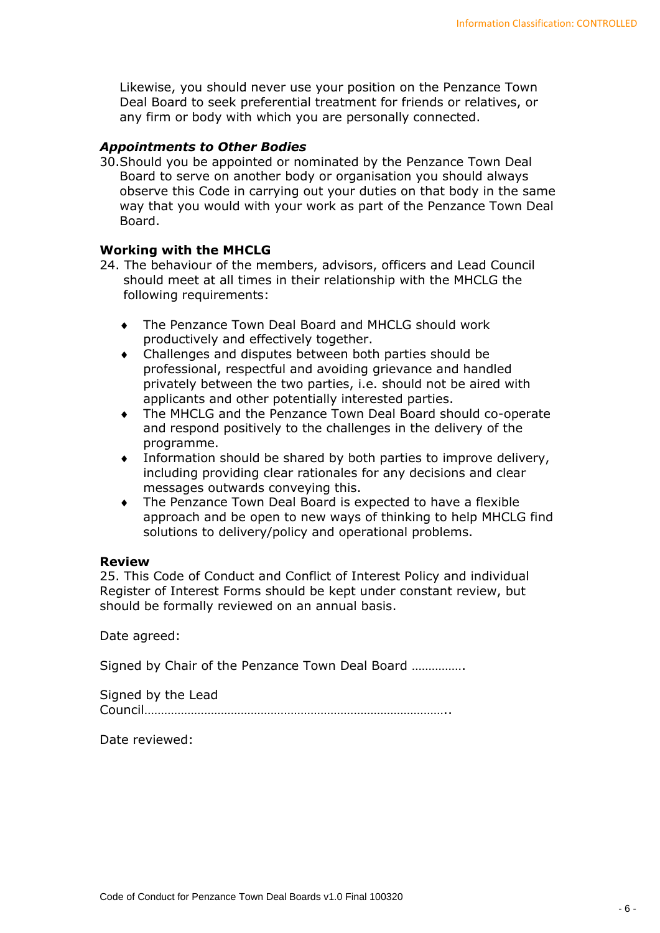Likewise, you should never use your position on the Penzance Town Deal Board to seek preferential treatment for friends or relatives, or any firm or body with which you are personally connected.

## *Appointments to Other Bodies*

30.Should you be appointed or nominated by the Penzance Town Deal Board to serve on another body or organisation you should always observe this Code in carrying out your duties on that body in the same way that you would with your work as part of the Penzance Town Deal Board.

## **Working with the MHCLG**

- 24. The behaviour of the members, advisors, officers and Lead Council should meet at all times in their relationship with the MHCLG the following requirements:
	- The Penzance Town Deal Board and MHCLG should work productively and effectively together.
	- Challenges and disputes between both parties should be professional, respectful and avoiding grievance and handled privately between the two parties, i.e. should not be aired with applicants and other potentially interested parties.
	- The MHCLG and the Penzance Town Deal Board should co-operate and respond positively to the challenges in the delivery of the programme.
	- Information should be shared by both parties to improve delivery, including providing clear rationales for any decisions and clear messages outwards conveying this.
	- The Penzance Town Deal Board is expected to have a flexible approach and be open to new ways of thinking to help MHCLG find solutions to delivery/policy and operational problems.

## **Review**

25. This Code of Conduct and Conflict of Interest Policy and individual Register of Interest Forms should be kept under constant review, but should be formally reviewed on an annual basis.

Date agreed:

Signed by Chair of the Penzance Town Deal Board …………….

Signed by the Lead Council………………………………………………………………………………..

Date reviewed: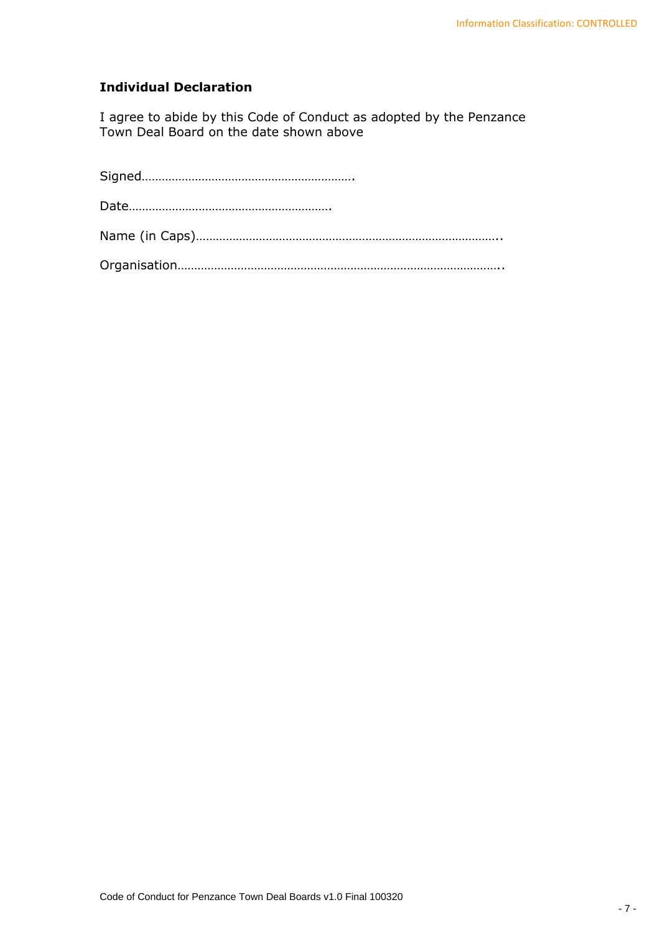# **Individual Declaration**

I agree to abide by this Code of Conduct as adopted by the Penzance Town Deal Board on the date shown above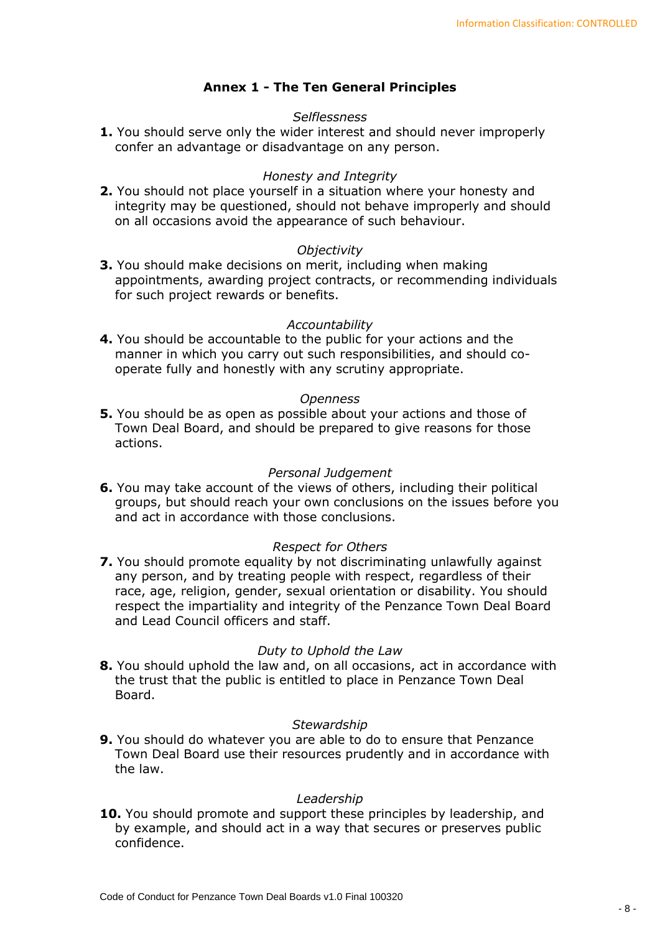## **Annex 1 - The Ten General Principles**

## *Selflessness*

**1.** You should serve only the wider interest and should never improperly confer an advantage or disadvantage on any person.

### *Honesty and Integrity*

**2.** You should not place yourself in a situation where your honesty and integrity may be questioned, should not behave improperly and should on all occasions avoid the appearance of such behaviour.

### *Objectivity*

**3.** You should make decisions on merit, including when making appointments, awarding project contracts, or recommending individuals for such project rewards or benefits.

### *Accountability*

**4.** You should be accountable to the public for your actions and the manner in which you carry out such responsibilities, and should cooperate fully and honestly with any scrutiny appropriate.

#### *Openness*

**5.** You should be as open as possible about your actions and those of Town Deal Board, and should be prepared to give reasons for those actions.

#### *Personal Judgement*

**6.** You may take account of the views of others, including their political groups, but should reach your own conclusions on the issues before you and act in accordance with those conclusions.

## *Respect for Others*

**7.** You should promote equality by not discriminating unlawfully against any person, and by treating people with respect, regardless of their race, age, religion, gender, sexual orientation or disability. You should respect the impartiality and integrity of the Penzance Town Deal Board and Lead Council officers and staff.

#### *Duty to Uphold the Law*

**8.** You should uphold the law and, on all occasions, act in accordance with the trust that the public is entitled to place in Penzance Town Deal Board.

#### *Stewardship*

**9.** You should do whatever you are able to do to ensure that Penzance Town Deal Board use their resources prudently and in accordance with the law.

#### *Leadership*

**10.** You should promote and support these principles by leadership, and by example, and should act in a way that secures or preserves public confidence.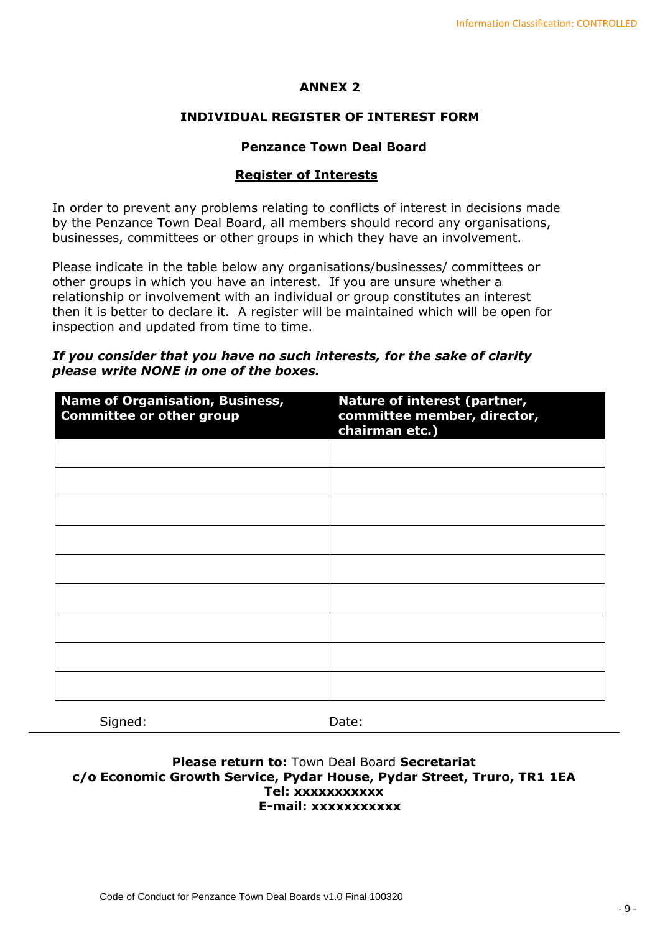## **ANNEX 2**

## **INDIVIDUAL REGISTER OF INTEREST FORM**

## **Penzance Town Deal Board**

## **Register of Interests**

In order to prevent any problems relating to conflicts of interest in decisions made by the Penzance Town Deal Board, all members should record any organisations, businesses, committees or other groups in which they have an involvement.

Please indicate in the table below any organisations/businesses/ committees or other groups in which you have an interest. If you are unsure whether a relationship or involvement with an individual or group constitutes an interest then it is better to declare it. A register will be maintained which will be open for inspection and updated from time to time.

## *If you consider that you have no such interests, for the sake of clarity please write NONE in one of the boxes.*

| Nature of interest (partner,<br>committee member, director,<br>chairman etc.) |
|-------------------------------------------------------------------------------|
|                                                                               |
|                                                                               |
|                                                                               |
|                                                                               |
|                                                                               |
|                                                                               |
|                                                                               |
|                                                                               |
|                                                                               |
|                                                                               |

Signed: Date:

## **Please return to:** Town Deal Board **Secretariat c/o Economic Growth Service, Pydar House, Pydar Street, Truro, TR1 1EA Tel: xxxxxxxxxxx E-mail: xxxxxxxxxxx**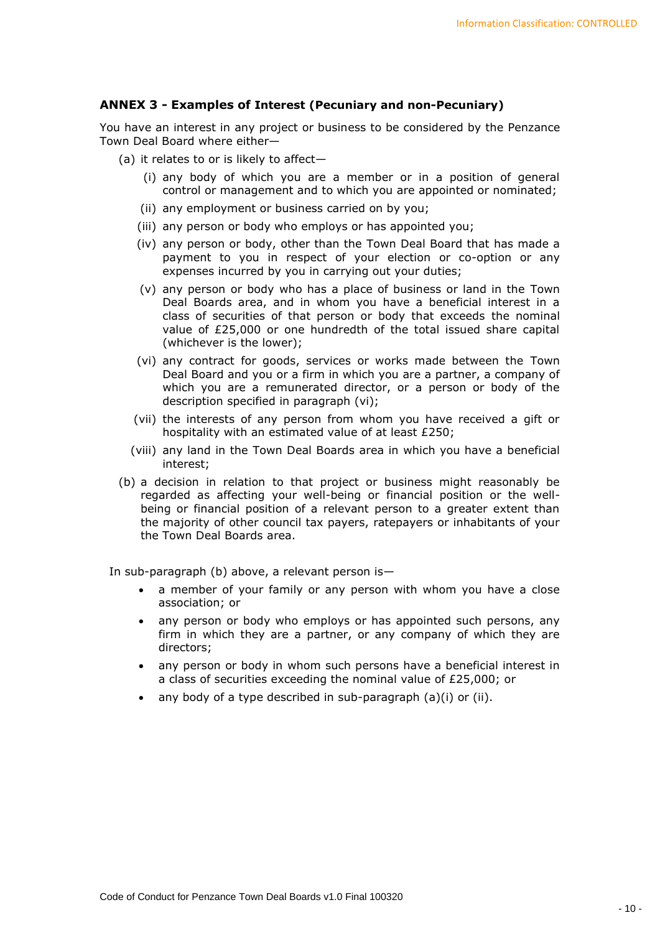### **ANNEX 3 - Examples of Interest (Pecuniary and non-Pecuniary)**

You have an interest in any project or business to be considered by the Penzance Town Deal Board where either—

- (a) it relates to or is likely to affect—
	- (i) any body of which you are a member or in a position of general control or management and to which you are appointed or nominated;
	- (ii) any employment or business carried on by you;
	- (iii) any person or body who employs or has appointed you;
	- (iv) any person or body, other than the Town Deal Board that has made a payment to you in respect of your election or co-option or any expenses incurred by you in carrying out your duties;
	- (v) any person or body who has a place of business or land in the Town Deal Boards area, and in whom you have a beneficial interest in a class of securities of that person or body that exceeds the nominal value of £25,000 or one hundredth of the total issued share capital (whichever is the lower);
	- (vi) any contract for goods, services or works made between the Town Deal Board and you or a firm in which you are a partner, a company of which you are a remunerated director, or a person or body of the description specified in paragraph (vi);
	- (vii) the interests of any person from whom you have received a gift or hospitality with an estimated value of at least £250;
	- (viii) any land in the Town Deal Boards area in which you have a beneficial interest;
- (b) a decision in relation to that project or business might reasonably be regarded as affecting your well-being or financial position or the wellbeing or financial position of a relevant person to a greater extent than the majority of other council tax payers, ratepayers or inhabitants of your the Town Deal Boards area.

In sub-paragraph (b) above, a relevant person is—

- a member of your family or any person with whom you have a close association; or
- any person or body who employs or has appointed such persons, any firm in which they are a partner, or any company of which they are directors;
- any person or body in whom such persons have a beneficial interest in a class of securities exceeding the nominal value of £25,000; or
- any body of a type described in sub-paragraph  $(a)(i)$  or  $(ii)$ .